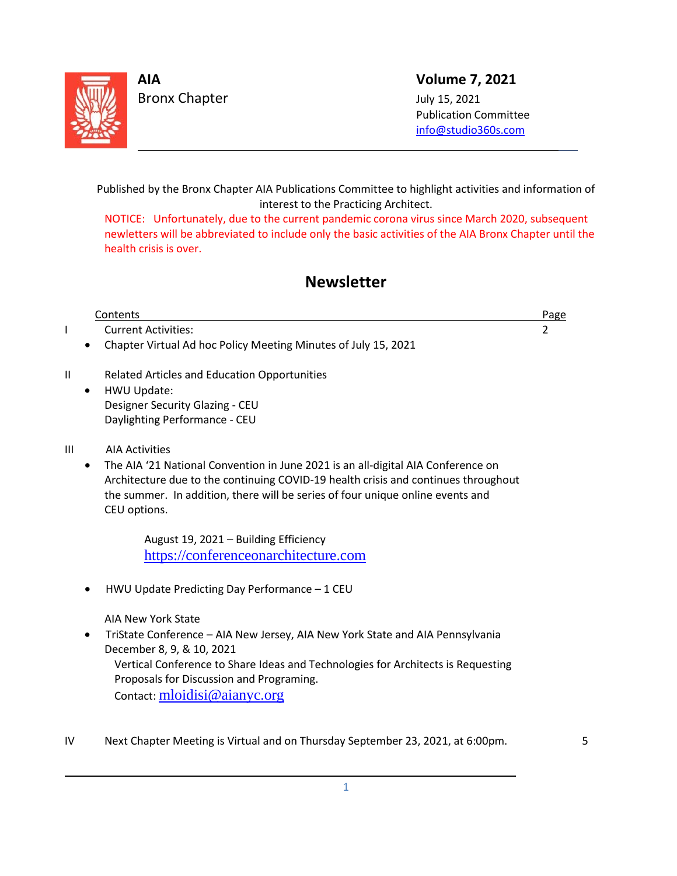

 $\overline{\phantom{0}}$ 

L

**AIA Volume 7, 2021**

 Publication Committee [info@studio360s.com](mailto:info@studio360s.com)

Published by the Bronx Chapter AIA Publications Committee to highlight activities and information of interest to the Practicing Architect.

NOTICE: Unfortunately, due to the current pandemic corona virus since March 2020, subsequent newletters will be abbreviated to include only the basic activities of the AIA Bronx Chapter until the health crisis is over.

# **Newsletter**

|    |           | Contents                                                                           | Page |
|----|-----------|------------------------------------------------------------------------------------|------|
|    |           | <b>Current Activities:</b>                                                         | 2    |
|    |           | Chapter Virtual Ad hoc Policy Meeting Minutes of July 15, 2021                     |      |
| II |           | <b>Related Articles and Education Opportunities</b>                                |      |
|    | $\bullet$ | HWU Update:                                                                        |      |
|    |           | Designer Security Glazing - CEU                                                    |      |
|    |           | Daylighting Performance - CEU                                                      |      |
| Ш  |           | <b>AIA Activities</b>                                                              |      |
|    |           | The AIA '21 National Convention in June 2021 is an all-digital AIA Conference on   |      |
|    |           | Architecture due to the continuing COVID-19 health crisis and continues throughout |      |
|    |           | the summer. In addition, there will be series of four unique online events and     |      |
|    |           | CEU options.                                                                       |      |
|    |           | August 19, 2021 - Building Efficiency                                              |      |
|    |           | https://conferenceonarchitecture.com                                               |      |
|    |           | HWU Update Predicting Day Performance - 1 CEU                                      |      |
|    |           | AIA New York State                                                                 |      |
|    |           | TriState Conference - AIA New Jersey, AIA New York State and AIA Pennsylvania      |      |
|    |           | December 8, 9, & 10, 2021                                                          |      |
|    |           | Vertical Conference to Share Ideas and Technologies for Architects is Requesting   |      |
|    |           | Proposals for Discussion and Programing.                                           |      |
|    |           | Contact: mloidisi@aianyc.org                                                       |      |
|    |           |                                                                                    |      |
|    |           |                                                                                    |      |

IV Next Chapter Meeting is Virtual and on Thursday September 23, 2021, at 6:00pm.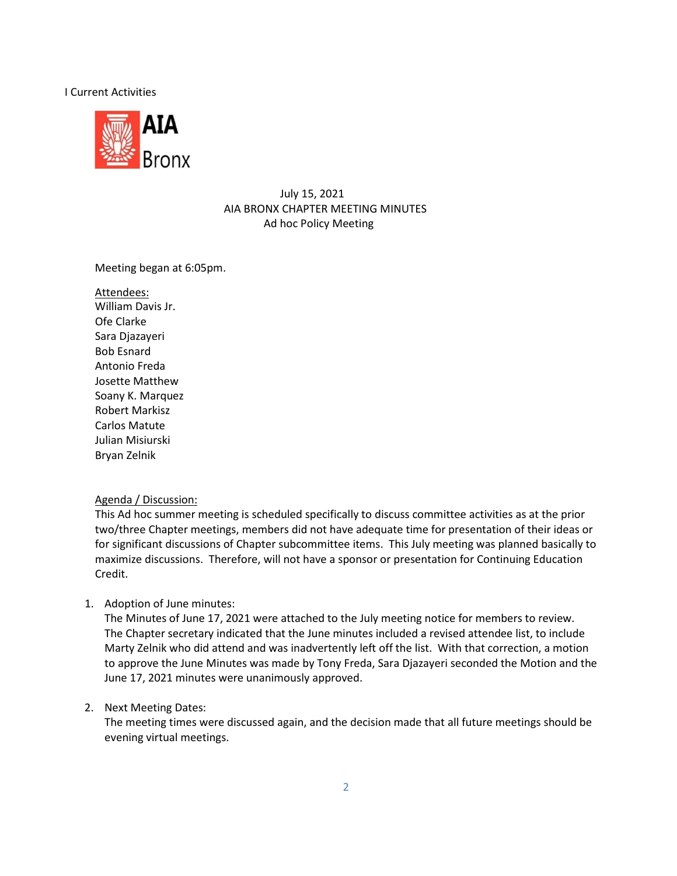#### I Current Activities



## July 15, 2021 AIA BRONX CHAPTER MEETING MINUTES Ad hoc Policy Meeting

### Meeting began at 6:05pm.

Attendees: William Davis Jr. Ofe Clarke Sara Djazayeri Bob Esnard Antonio Freda Josette Matthew Soany K. Marquez Robert Markisz Carlos Matute Julian Misiurski Bryan Zelnik

### Agenda / Discussion:

This Ad hoc summer meeting is scheduled specifically to discuss committee activities as at the prior two/three Chapter meetings, members did not have adequate time for presentation of their ideas or for significant discussions of Chapter subcommittee items. This July meeting was planned basically to maximize discussions. Therefore, will not have a sponsor or presentation for Continuing Education Credit.

1. Adoption of June minutes:

The Minutes of June 17, 2021 were attached to the July meeting notice for members to review. The Chapter secretary indicated that the June minutes included a revised attendee list, to include Marty Zelnik who did attend and was inadvertently left off the list. With that correction, a motion to approve the June Minutes was made by Tony Freda, Sara Djazayeri seconded the Motion and the June 17, 2021 minutes were unanimously approved.

### 2. Next Meeting Dates:

The meeting times were discussed again, and the decision made that all future meetings should be evening virtual meetings.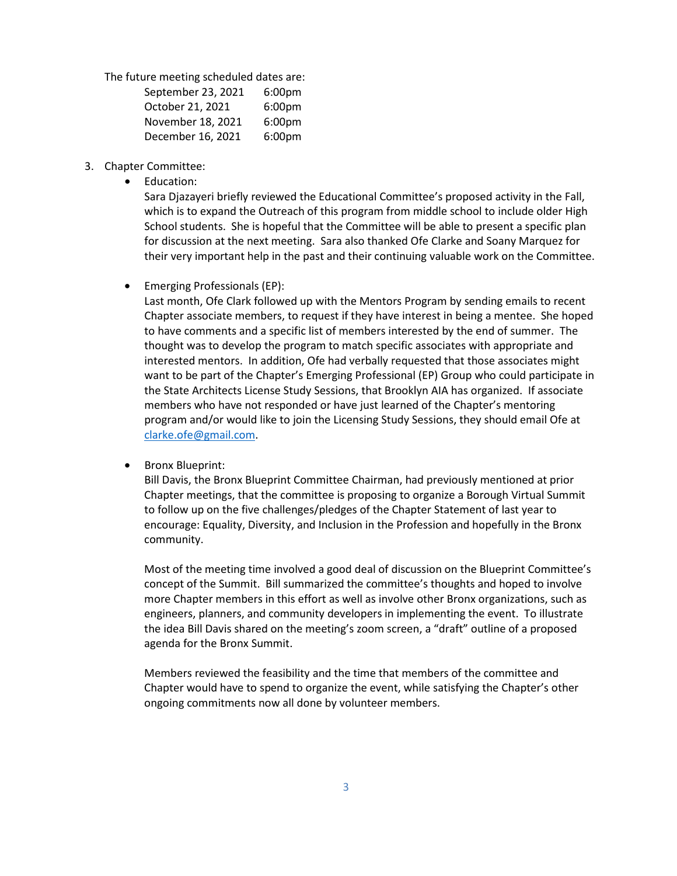The future meeting scheduled dates are:

| September 23, 2021 | 6:00 <sub>pm</sub> |  |
|--------------------|--------------------|--|
| October 21, 2021   | 6:00pm             |  |
| November 18, 2021  | 6:00 <sub>pm</sub> |  |
| December 16, 2021  | 6:00pm             |  |

- 3. Chapter Committee:
	- Education:

Sara Djazayeri briefly reviewed the Educational Committee's proposed activity in the Fall, which is to expand the Outreach of this program from middle school to include older High School students. She is hopeful that the Committee will be able to present a specific plan for discussion at the next meeting. Sara also thanked Ofe Clarke and Soany Marquez for their very important help in the past and their continuing valuable work on the Committee.

• Emerging Professionals (EP):

Last month, Ofe Clark followed up with the Mentors Program by sending emails to recent Chapter associate members, to request if they have interest in being a mentee. She hoped to have comments and a specific list of members interested by the end of summer. The thought was to develop the program to match specific associates with appropriate and interested mentors. In addition, Ofe had verbally requested that those associates might want to be part of the Chapter's Emerging Professional (EP) Group who could participate in the State Architects License Study Sessions, that Brooklyn AIA has organized. If associate members who have not responded or have just learned of the Chapter's mentoring program and/or would like to join the Licensing Study Sessions, they should email Ofe at [clarke.ofe@gmail.com.](mailto:clarke.ofe@gmail.com)

• Bronx Blueprint:

Bill Davis, the Bronx Blueprint Committee Chairman, had previously mentioned at prior Chapter meetings, that the committee is proposing to organize a Borough Virtual Summit to follow up on the five challenges/pledges of the Chapter Statement of last year to encourage: Equality, Diversity, and Inclusion in the Profession and hopefully in the Bronx community.

Most of the meeting time involved a good deal of discussion on the Blueprint Committee's concept of the Summit. Bill summarized the committee's thoughts and hoped to involve more Chapter members in this effort as well as involve other Bronx organizations, such as engineers, planners, and community developers in implementing the event. To illustrate the idea Bill Davis shared on the meeting's zoom screen, a "draft" outline of a proposed agenda for the Bronx Summit.

Members reviewed the feasibility and the time that members of the committee and Chapter would have to spend to organize the event, while satisfying the Chapter's other ongoing commitments now all done by volunteer members.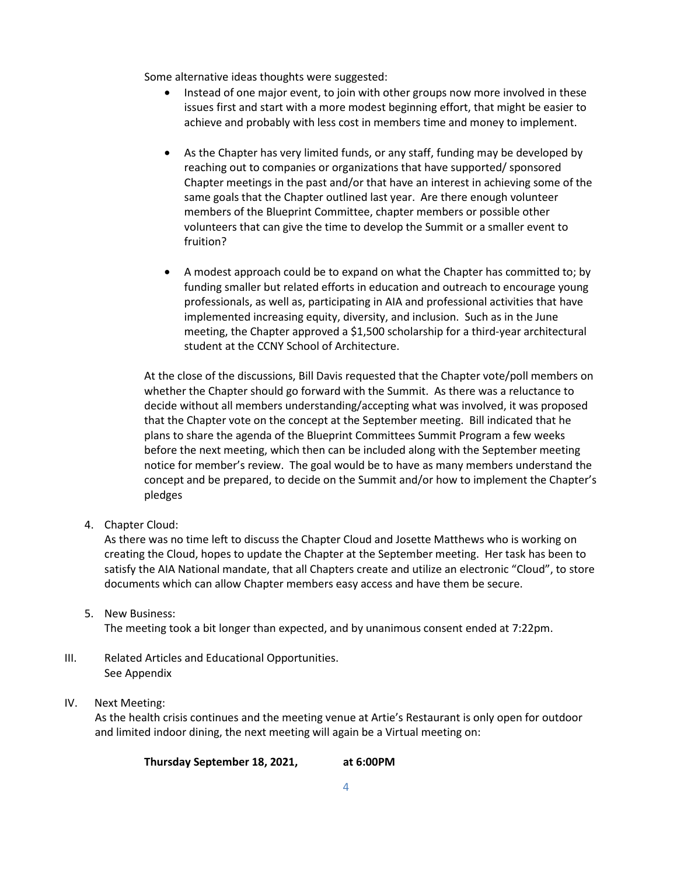Some alternative ideas thoughts were suggested:

- Instead of one major event, to join with other groups now more involved in these issues first and start with a more modest beginning effort, that might be easier to achieve and probably with less cost in members time and money to implement.
- As the Chapter has very limited funds, or any staff, funding may be developed by reaching out to companies or organizations that have supported/ sponsored Chapter meetings in the past and/or that have an interest in achieving some of the same goals that the Chapter outlined last year. Are there enough volunteer members of the Blueprint Committee, chapter members or possible other volunteers that can give the time to develop the Summit or a smaller event to fruition?
- A modest approach could be to expand on what the Chapter has committed to; by funding smaller but related efforts in education and outreach to encourage young professionals, as well as, participating in AIA and professional activities that have implemented increasing equity, diversity, and inclusion. Such as in the June meeting, the Chapter approved a \$1,500 scholarship for a third-year architectural student at the CCNY School of Architecture.

At the close of the discussions, Bill Davis requested that the Chapter vote/poll members on whether the Chapter should go forward with the Summit. As there was a reluctance to decide without all members understanding/accepting what was involved, it was proposed that the Chapter vote on the concept at the September meeting. Bill indicated that he plans to share the agenda of the Blueprint Committees Summit Program a few weeks before the next meeting, which then can be included along with the September meeting notice for member's review. The goal would be to have as many members understand the concept and be prepared, to decide on the Summit and/or how to implement the Chapter's pledges

4. Chapter Cloud:

As there was no time left to discuss the Chapter Cloud and Josette Matthews who is working on creating the Cloud, hopes to update the Chapter at the September meeting. Her task has been to satisfy the AIA National mandate, that all Chapters create and utilize an electronic "Cloud", to store documents which can allow Chapter members easy access and have them be secure.

- 5. New Business: The meeting took a bit longer than expected, and by unanimous consent ended at 7:22pm.
- III. Related Articles and Educational Opportunities. See Appendix
- IV. Next Meeting:

As the health crisis continues and the meeting venue at Artie's Restaurant is only open for outdoor and limited indoor dining, the next meeting will again be a Virtual meeting on:

**Thursday September 18, 2021, at 6:00PM**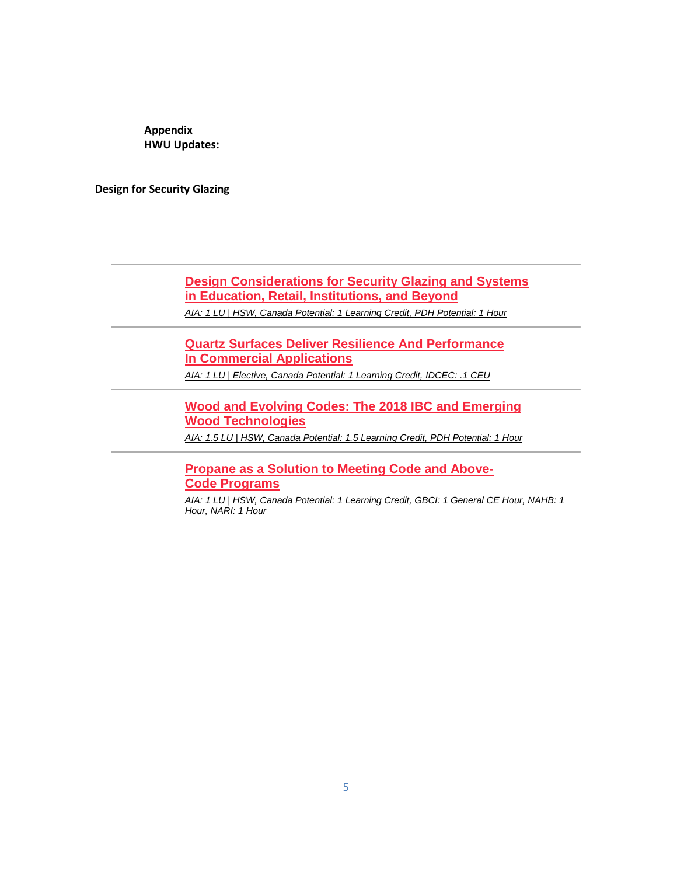**Appendix HWU Updates:**

**Design for Security Glazing**

**[Design Considerations for Security Glazing and Systems](https://linkprotect.cudasvc.com/url?a=http://click1.e.hanleywood-media.com/qsfjpsydmwfthfvstvqfstyffytfwhvjcmgmrcpdfssds_gtkrynwdctynwcwwww.html?a%3dbesnard%2540dzco.com%26b%3dHWU_EBMGHWUN721155_Update_Newsletter_080321&c=E%2c1%2c9YNTB_ZnEIbtTPmVmI3DzNw87CbzhdpZ-zNL2HGGWeDKLZKz2bP4zWLNeupM3_bbFeyy4pUFSa8yajUowgKUb3Y0cR6mXb161JD5rOftnpcc4Jszbbc%2c&typo=1)  [in Education, Retail, Institutions, and Beyond](https://linkprotect.cudasvc.com/url?a=http://click1.e.hanleywood-media.com/qsfjpsydmwfthfvstvqfstyffytfwhvjcmgmrcpdfssds_gtkrynwdctynwcwwww.html?a%3dbesnard%2540dzco.com%26b%3dHWU_EBMGHWUN721155_Update_Newsletter_080321&c=E%2c1%2c9YNTB_ZnEIbtTPmVmI3DzNw87CbzhdpZ-zNL2HGGWeDKLZKz2bP4zWLNeupM3_bbFeyy4pUFSa8yajUowgKUb3Y0cR6mXb161JD5rOftnpcc4Jszbbc%2c&typo=1)** *[AIA: 1 LU | HSW, Canada Potential: 1 Learning Credit, PDH Potential: 1 Hour](https://linkprotect.cudasvc.com/url?a=http://click1.e.hanleywood-media.com/thjdmhsplzckjcbhkbfchksccskczjbdtlvlrtmpchhpv_gtkrynwdctynwcwwww.html?a%3dbesnard%2540dzco.com%26b%3dHWU_EBMGHWUN721155_Update_Newsletter_080321&c=E%2c1%2cUIawhN03Dd5mrsuKSbqhNS1FGHhn57bo3K3QyVHliGiUA5ZKRYkh4oaYwiZRed1VGOzgw1YmCLOL0wE0flJ8bBXxxjqAMjH79S8AnS2e5Q_rqsMMoMuJ1fpnDd8J&typo=1)*

**[Quartz Surfaces Deliver Resilience And Performance](https://linkprotect.cudasvc.com/url?a=http://click1.e.hanleywood-media.com/yfmpbqyvslgncgfqnfrgqnyggynglcfpwskstwbvgqqvb_gtkrynwdctynwcwwww.html?a%3dbesnard%2540dzco.com%26b%3dHWU_EBMGHWUN721155_Update_Newsletter_080321&c=E%2c1%2cQRTc9aDQpWP8EgfUSsgS7VKrIoPxDbmAo867i5NQsyCjyAay7Fwc4Y9tG4F6lWmBglgvdzy80EnQwXpSizuJvoyTtokyYELOmtf1ixUDxxufySlfk3UOTyGyQag%2c&typo=1)  In [Commercial Applications](https://linkprotect.cudasvc.com/url?a=http://click1.e.hanleywood-media.com/yfmpbqyvslgncgfqnfrgqnyggynglcfpwskstwbvgqqvb_gtkrynwdctynwcwwww.html?a%3dbesnard%2540dzco.com%26b%3dHWU_EBMGHWUN721155_Update_Newsletter_080321&c=E%2c1%2cQRTc9aDQpWP8EgfUSsgS7VKrIoPxDbmAo867i5NQsyCjyAay7Fwc4Y9tG4F6lWmBglgvdzy80EnQwXpSizuJvoyTtokyYELOmtf1ixUDxxufySlfk3UOTyGyQag%2c&typo=1)**

*[AIA: 1 LU | Elective, Canada Potential: 1 Learning Credit, IDCEC:](https://linkprotect.cudasvc.com/url?a=http://click1.e.hanleywood-media.com/pyqrcjwvhqlbdlyjbytljbwllwblqdyrghmhkgcvljjvv_gtkrynwdctynwcwwww.html?a%3dbesnard%2540dzco.com%26b%3dHWU_EBMGHWUN721155_Update_Newsletter_080321&c=E%2c1%2cWJnynz6UEWCl7wrX2eAshK4JqB6hrYRBcc1-0BelQuUPA_bvfEa-zhi0KNgCim9kEa8Cm0C5Rca1g_RpW57AzM4vMv0JpJrjP94afa--&typo=1) .1 CEU*

**[Wood and Evolving Codes: The 2018 IBC and Emerging](https://linkprotect.cudasvc.com/url?a=http://click1.e.hanleywood-media.com/vfgqjpdyfvgnmgkpnkbgpndggdngvmkqcfhfzcjygpkrf_gtkrynwdctynwcwwww.html?a%3dbesnard%2540dzco.com%26b%3dHWU_EBMGHWUN721155_Update_Newsletter_080321&c=E%2c1%2c_tlo7_CaLIW6mEOoLskkHzHjtV9d_pHwh_4vOXnxoHYuC4Y_-Ts8HG58gv6pi8U3lzLiOUF7s06kNG8DNCVCqTXYv9SnLVXrZIjvRhWXtej1FhkAf4x_NA%2c%2c&typo=1)  Wood [Technologies](https://linkprotect.cudasvc.com/url?a=http://click1.e.hanleywood-media.com/vfgqjpdyfvgnmgkpnkbgpndggdngvmkqcfhfzcjygpkrf_gtkrynwdctynwcwwww.html?a%3dbesnard%2540dzco.com%26b%3dHWU_EBMGHWUN721155_Update_Newsletter_080321&c=E%2c1%2c_tlo7_CaLIW6mEOoLskkHzHjtV9d_pHwh_4vOXnxoHYuC4Y_-Ts8HG58gv6pi8U3lzLiOUF7s06kNG8DNCVCqTXYv9SnLVXrZIjvRhWXtej1FhkAf4x_NA%2c%2c&typo=1)**

*[AIA: 1.5 LU | HSW, Canada Potential: 1.5 Learning Credit, PDH Potential: 1 Hour](https://linkprotect.cudasvc.com/url?a=http://click1.e.hanleywood-media.com/qmhjpsydmwfthfvstvqfstyffytfwhvjcmgmrcpdfsvns_gtkrynwdctynwcwwww.html?a%3dbesnard%2540dzco.com%26b%3dHWU_EBMGHWUN721155_Update_Newsletter_080321&c=E%2c1%2cTMuex9Q7xTwp6kXzVgnQIRcGCngyXjr0VCPvkxv-G8D5cb1uFC3O47bL75j6H0gdJX-P8srIAkmdMSjuXTE4DcV2ff9_-4iBulFk4mTj1Jca8sibFw%2c%2c&typo=1)*

**[Propane as a Solution to Meeting Code and Above-](https://linkprotect.cudasvc.com/url?a=http://click1.e.hanleywood-media.com/lkzfwgshmknrqndgrdpngrsnnsrnkqdflmjmclwhngdzj_gtkrynwdctynwcwwww.html?a%3dbesnard%2540dzco.com%26b%3dHWU_EBMGHWUN721155_Update_Newsletter_080321&c=E%2c1%2cdvj0j-Jplp5dhZ3TKsJX5ZTOvL9MiViNh0ucBRUqQ1c2rnChMNqivWhqAEDGv7hJttkGFbmtrLHeoWuW9d0DOgAeZSKZrsqeHWAsGCX57e0Z7Q%2c%2c&typo=1)Code [Programs](https://linkprotect.cudasvc.com/url?a=http://click1.e.hanleywood-media.com/lkzfwgshmknrqndgrdpngrsnnsrnkqdflmjmclwhngdzj_gtkrynwdctynwcwwww.html?a%3dbesnard%2540dzco.com%26b%3dHWU_EBMGHWUN721155_Update_Newsletter_080321&c=E%2c1%2cdvj0j-Jplp5dhZ3TKsJX5ZTOvL9MiViNh0ucBRUqQ1c2rnChMNqivWhqAEDGv7hJttkGFbmtrLHeoWuW9d0DOgAeZSKZrsqeHWAsGCX57e0Z7Q%2c%2c&typo=1)**

*[AIA: 1 LU | HSW, Canada Potential: 1 Learning Credit, GBCI: 1 General CE Hour, NAHB: 1](https://linkprotect.cudasvc.com/url?a=http://click1.e.hanleywood-media.com/ozzcrjsqtzldmlkjdkgljdsllsdlzmkcptwtnprqljkfr_gtkrynwdctynwcwwww.html?a%3dbesnard%2540dzco.com%26b%3dHWU_EBMGHWUN721155_Update_Newsletter_080321&c=E%2c1%2cRayywfwD0wmCkaZJhIP7Px29F2lwFbZCDUD7KTa8UlkZ--vktFsh2KRS04kZ2TK7VJZ0N3OpLsHKHNSjs2RskQusWF08JoddF929sKuHpCUSTt9qbg%2c%2c&typo=1)  [Hour, NARI: 1 Hour](https://linkprotect.cudasvc.com/url?a=http://click1.e.hanleywood-media.com/ozzcrjsqtzldmlkjdkgljdsllsdlzmkcptwtnprqljkfr_gtkrynwdctynwcwwww.html?a%3dbesnard%2540dzco.com%26b%3dHWU_EBMGHWUN721155_Update_Newsletter_080321&c=E%2c1%2cRayywfwD0wmCkaZJhIP7Px29F2lwFbZCDUD7KTa8UlkZ--vktFsh2KRS04kZ2TK7VJZ0N3OpLsHKHNSjs2RskQusWF08JoddF929sKuHpCUSTt9qbg%2c%2c&typo=1)*